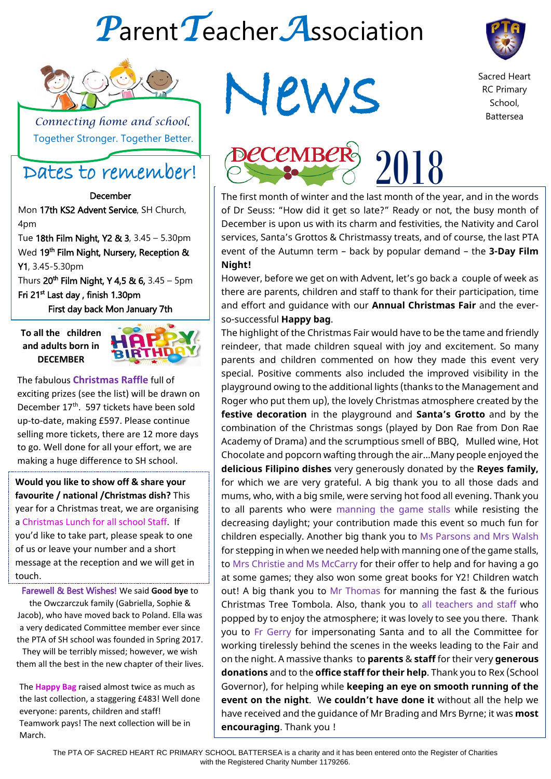# *P*arent*T*eacher*A*ssociation



 *Connecting home and school*. Together Stronger. Together Better.

# Dates to remember!

#### December

Mon 17th KS2 Advent Service, SH Church, 4pm

Tue 18th Film Night, Y2 & 3, 3.45 – 5.30pm Wed 19<sup>th</sup> Film Night, Nursery, Reception & Y1, 3.45-5.30pm Thurs **20<sup>th</sup> Film Night, Y 4,5 & 6,** 3.45 – 5pm Fri 21<sup>st</sup> Last day , finish 1.30pm

First day back Mon January 7th

**To all the children and adults born in DECEMBER**



The fabulous **Christmas Raffle** full of exciting prizes (see the list) will be drawn on December 17<sup>th</sup>. 597 tickets have been sold up-to-date, making £597. Please continue selling more tickets, there are 12 more days to go. Well done for all your effort, we are making a huge difference to SH school.

**Would you like to show off & share your favourite / national /Christmas dish?** This year for a Christmas treat, we are organising a Christmas Lunch for all school Staff. If you'd like to take part, please speak to one of us or leave your number and a short message at the reception and we will get in touch.

Farewell & Best Wishes! We said **Good bye** to the Owczarczuk family (Gabriella, Sophie & Jacob), who have moved back to Poland. Ella was a very dedicated Committee member ever since the PTA of SH school was founded in Spring 2017.

They will be terribly missed; however, we wish them all the best in the new chapter of their lives.

The **Happy Bag** raised almost twice as much as the last collection, a staggering £483! Well done everyone: parents, children and staff! Teamwork pays! The next collection will be in March.





RC Primary School, Battersea



December is upon us with its charm and festivities, the Nativity and Carol services, Santa's Grottos & Christmassy treats, and of course, the last PTA event of the Autumn term – back by popular demand – the **3-Day Film Night!**

However, before we get on with Advent, let's go back a couple of week as there are parents, children and staff to thank for their participation, time and effort and guidance with our **Annual Christmas Fair** and the everso-successful **Happy bag**.

The highlight of the Christmas Fair would have to be the tame and friendly reindeer, that made children squeal with joy and excitement. So many parents and children commented on how they made this event very special. Positive comments also included the improved visibility in the playground owing to the additional lights (thanks to the Management and Roger who put them up), the lovely Christmas atmosphere created by the **festive decoration** in the playground and **Santa's Grotto** and by the combination of the Christmas songs (played by Don Rae from Don Rae Academy of Drama) and the scrumptious smell of BBQ, Mulled wine, Hot Chocolate and popcorn wafting through the air…Many people enjoyed the **delicious Filipino dishes** very generously donated by the **Reyes family,** for which we are very grateful. A big thank you to all those dads and mums, who, with a big smile, were serving hot food all evening. Thank you to all parents who were manning the game stalls while resisting the decreasing daylight; your contribution made this event so much fun for children especially. Another big thank you to Ms Parsons and Mrs Walsh for stepping in when we needed help with manning one of the game stalls, to Mrs Christie and Ms McCarry for their offer to help and for having a go at some games; they also won some great books for Y2! Children watch out! A big thank you to Mr Thomas for manning the fast & the furious Christmas Tree Tombola. Also, thank you to all teachers and staff who popped by to enjoy the atmosphere; it was lovely to see you there. Thank you to Fr Gerry for impersonating Santa and to all the Committee for working tirelessly behind the scenes in the weeks leading to the Fair and on the night. A massive thanks to **parents** & **staff** for their very **generous donations** and to the **office staff for their help**. Thank you to Rex (School Governor), for helping while **keeping an eye on smooth running of the event on the night**. W**e couldn't have done it** without all the help we have received and the guidance of Mr Brading and Mrs Byrne; it was **most encouraging**. Thank you !

The PTA OF SACRED HEART RC PRIMARY SCHOOL BATTERSEA is a charity and it has been entered onto the Register of Charities with the Registered Charity Number 1179266.